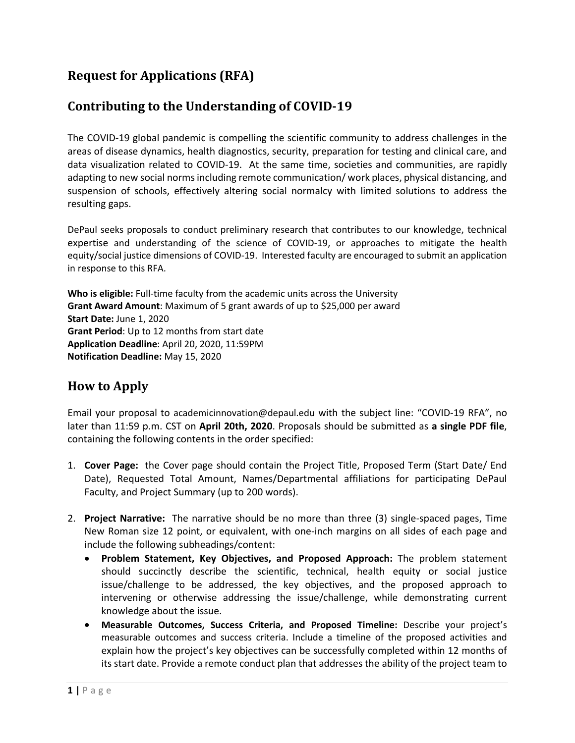## **Request for Applications (RFA)**

## **Contributing to the Understanding of COVID-19**

The COVID-19 global pandemic is compelling the scientific community to address challenges in the areas of disease dynamics, health diagnostics, security, preparation for testing and clinical care, and data visualization related to COVID-19. At the same time, societies and communities, are rapidly adapting to new social norms including remote communication/work places, physical distancing, and suspension of schools, effectively altering social normalcy with limited solutions to address the resulting gaps.

DePaul seeks proposals to conduct preliminary research that contributes to our knowledge, technical expertise and understanding of the science of COVID-19, or approaches to mitigate the health equity/social justice dimensions of COVID-19. Interested faculty are encouraged to submit an application in response to this RFA.

**Who is eligible:** Full-time faculty from the academic units across the University **Grant Award Amount**: Maximum of 5 grant awards of up to \$25,000 per award **Start Date:** June 1, 2020 **Grant Period**: Up to 12 months from start date **Application Deadline**: April 20, 2020, 11:59PM **Notification Deadline:** May 15, 2020

## **How to Apply**

Email your proposal to academicinnovation@depaul.edu with the subject line: "COVID-19 RFA", no later than 11:59 p.m. CST on **April 20th, 2020**. Proposals should be submitted as **a single PDF file**, containing the following contents in the order specified:

- 1. **Cover Page:** the Cover page should contain the Project Title, Proposed Term (Start Date/ End Date), Requested Total Amount, Names/Departmental affiliations for participating DePaul Faculty, and Project Summary (up to 200 words).
- 2. **Project Narrative:** The narrative should be no more than three (3) single-spaced pages, Time New Roman size 12 point, or equivalent, with one-inch margins on all sides of each page and include the following subheadings/content:
	- **Problem Statement, Key Objectives, and Proposed Approach:** The problem statement should succinctly describe the scientific, technical, health equity or social justice issue/challenge to be addressed, the key objectives, and the proposed approach to intervening or otherwise addressing the issue/challenge, while demonstrating current knowledge about the issue.
	- **Measurable Outcomes, Success Criteria, and Proposed Timeline:** Describe your project's measurable outcomes and success criteria. Include a timeline of the proposed activities and explain how the project's key objectives can be successfully completed within 12 months of its start date. Provide a remote conduct plan that addresses the ability of the project team to